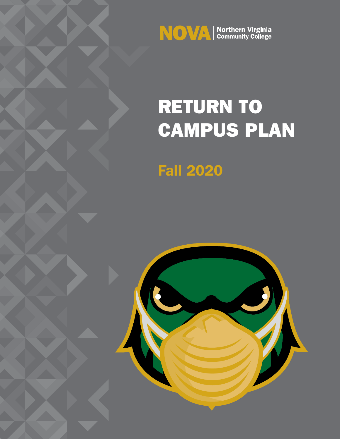

# RETURN TO CAMPUS PLAN

Fall 2020

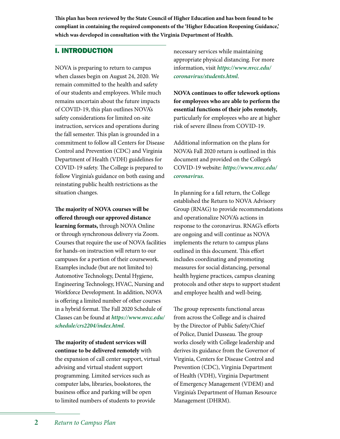**This plan has been reviewed by the State Council of Higher Education and has been found to be compliant in containing the required components of the 'Higher Education Reopening Guidance,' which was developed in consultation with the Virginia Department of Health.**

# I. INTRODUCTION

NOVA is preparing to return to campus when classes begin on August 24, 2020. We remain committed to the health and safety of our students and employees. While much remains uncertain about the future impacts of COVID-19, this plan outlines NOVA's safety considerations for limited on-site instruction, services and operations during the fall semester. This plan is grounded in a commitment to follow all Centers for Disease Control and Prevention (CDC) and Virginia Department of Health (VDH) guidelines for COVID-19 safety. The College is prepared to follow Virginia's guidance on both easing and reinstating public health restrictions as the situation changes.

**The majority of NOVA courses will be offered through our approved distance learning formats,** through NOVA Online or through synchronous delivery via Zoom. Courses that require the use of NOVA facilities for hands-on instruction will return to our campuses for a portion of their coursework. Examples include (but are not limited to) Automotive Technology, Dental Hygiene, Engineering Technology, HVAC, Nursing and Workforce Development. In addition, NOVA is offering a limited number of other courses in a hybrid format. The Fall 2020 Schedule of Classes can be found at *https://www.nvcc.edu/ [schedule/crs2204/index.html](https://www.nvcc.edu/schedule/crs2204/index.html)*.

**The majority of student services will continue to be delivered remotely** with the expansion of call center support, virtual advising and virtual student support programming. Limited services such as computer labs, libraries, bookstores, the business office and parking will be open to limited numbers of students to provide

necessary services while maintaining appropriate physical distancing. For more information, visit *https://www.nvcc.edu/ [coronavirus/students.html](https://www.nvcc.edu/coronavirus/students.html)*.

**NOVA continues to offer telework options for employees who are able to perform the essential functions of their jobs remotely,** particularly for employees who are at higher risk of severe illness from COVID-19.

Additional information on the plans for NOVA's Fall 2020 return is outlined in this document and provided on the College's COVID-19 website: *[https://www.nvcc.edu/](https://www.nvcc.edu/coronavirus) coronavirus.*

In planning for a fall return, the College established the Return to NOVA Advisory Group (RNAG) to provide recommendations and operationalize NOVA's actions in response to the coronavirus. RNAG's efforts are ongoing and will continue as NOVA implements the return to campus plans outlined in this document. This effort includes coordinating and promoting measures for social distancing, personal health hygiene practices, campus cleaning protocols and other steps to support student and employee health and well-being.

The group represents functional areas from across the College and is chaired by the Director of Public Safety/Chief of Police, Daniel Dusseau. The group works closely with College leadership and derives its guidance from the Governor of Virginia, Centers for Disease Control and Prevention (CDC), Virginia Department of Health (VDH), Virginia Department of Emergency Management (VDEM) and Virginia's Department of Human Resource Management (DHRM).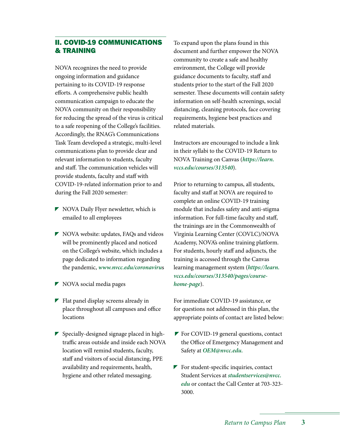# II. COVID-19 COMMUNICATIONS & TRAINING

NOVA recognizes the need to provide ongoing information and guidance pertaining to its COVID-19 response efforts. A comprehensive public health communication campaign to educate the NOVA community on their responsibility for reducing the spread of the virus is critical to a safe reopening of the College's facilities. Accordingly, the RNAG's Communications Task Team developed a strategic, multi-level communications plan to provide clear and relevant information to students, faculty and staff. The communication vehicles will provide students, faculty and staff with COVID-19-related information prior to and during the Fall 2020 semester:

- NOVA Daily Flyer newsletter, which is emailed to all employees
- NOVA website: updates, FAQs and videos will be prominently placed and noticed on the College's website, which includes a page dedicated to information regarding the pandemic, *www.nvcc.edu/coronaviru*s
- NOVA social media pages
- $\blacktriangleright$  Flat panel display screens already in place throughout all campuses and office locations
- $\blacktriangleright$  Specially-designed signage placed in hightraffic areas outside and inside each NOVA location will remind students, faculty, staff and visitors of social distancing, PPE availability and requirements, health, hygiene and other related messaging.

To expand upon the plans found in this document and further empower the NOVA community to create a safe and healthy environment, the College will provide guidance documents to faculty, staff and students prior to the start of the Fall 2020 semester. These documents will contain safety information on self-health screenings, social distancing, cleaning protocols, face covering requirements, hygiene best practices and related materials.

Instructors are encouraged to include a link in their syllabi to the COVID-19 Return to NOVA Training on Canvas (*https://learn. vccs.edu/courses/313540*).

Prior to returning to campus, all students, faculty and staff at NOVA are required to complete an online COVID-19 training module that includes safety and anti-stigma information. For full-time faculty and staff, the trainings are in the Commonwealth of Virginia Learning Center (COVLC)/NOVA Academy, NOVA's online training platform. For students, hourly staff and adjuncts, the training is accessed through the Canvas learning management system (*https://learn. [vccs.edu/courses/313540/pages/course](https://learn.vccs.edu/courses/313540/pages/course-home-page)home-page*).

For immediate COVID-19 assistance, or for questions not addressed in this plan, the appropriate points of contact are listed below:

- **F** For COVID-19 general questions, contact the Office of Emergency Management and Safety at *OEM@nvcc.edu.*
- $\blacktriangleright$  For student-specific inquiries, contact Student Services at *studentservices@nvcc. edu* [or contact the Call Center at 703-323-](mailto:studentservices@nvcc.edu) 3000.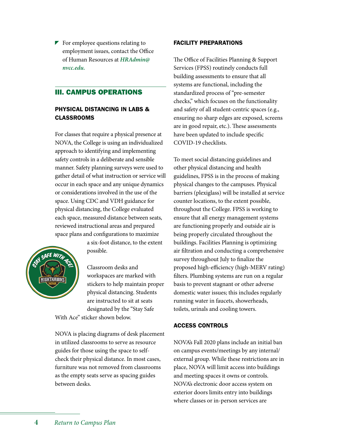$\blacktriangleright$  For employee questions relating to employment issues, contact the Office [of Human Resources at](mailto:HRAdmin@nvcc.edu) *HRAdmin@ nvcc.edu.*

# III. CAMPUS OPERATIONS

# PHYSICAL DISTANCING IN LABS & CLASSROOMS

For classes that require a physical presence at NOVA, the College is using an individualized approach to identifying and implementing safety controls in a deliberate and sensible manner. Safety planning surveys were used to gather detail of what instruction or service will occur in each space and any unique dynamics or considerations involved in the use of the space. Using CDC and VDH guidance for physical distancing, the College evaluated each space, measured distance between seats, reviewed instructional areas and prepared space plans and configurations to maximize



a six-foot distance, to the extent possible.

Classroom desks and workspaces are marked with stickers to help maintain proper physical distancing. Students are instructed to sit at seats designated by the "Stay Safe

With Ace" sticker shown below.

NOVA is placing diagrams of desk placement in utilized classrooms to serve as resource guides for those using the space to selfcheck their physical distance. In most cases, furniture was not removed from classrooms as the empty seats serve as spacing guides between desks.

# FACILITY PREPARATIONS

The Office of Facilities Planning & Support Services (FPSS) routinely conducts full building assessments to ensure that all systems are functional, including the standardized process of "pre-semester checks," which focuses on the functionality and safety of all student-centric spaces (e.g., ensuring no sharp edges are exposed, screens are in good repair, etc.). These assessments have been updated to include specific COVID-19 checklists.

To meet social distancing guidelines and other physical distancing and health guidelines, FPSS is in the process of making physical changes to the campuses. Physical barriers (plexiglass) will be installed at service counter locations, to the extent possible, throughout the College. FPSS is working to ensure that all energy management systems are functioning properly and outside air is being properly circulated throughout the buildings. Facilities Planning is optimizing air filtration and conducting a comprehensive survey throughout July to finalize the proposed high-efficiency (high-MERV rating) filters. Plumbing systems are run on a regular basis to prevent stagnant or other adverse domestic water issues; this includes regularly running water in faucets, showerheads, toilets, urinals and cooling towers.

#### ACCESS CONTROLS

NOVA's Fall 2020 plans include an initial ban on campus events/meetings by any internal/ external group. While these restrictions are in place, NOVA will limit access into buildings and meeting spaces it owns or controls. NOVA's electronic door access system on exterior doors limits entry into buildings where classes or in-person services are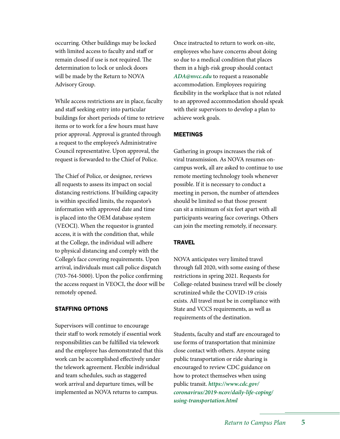occurring. Other buildings may be locked with limited access to faculty and staff or remain closed if use is not required. The determination to lock or unlock doors will be made by the Return to NOVA Advisory Group.

While access restrictions are in place, faculty and staff seeking entry into particular buildings for short periods of time to retrieve items or to work for a few hours must have prior approval. Approval is granted through a request to the employee's Administrative Council representative. Upon approval, the request is forwarded to the Chief of Police.

The Chief of Police, or designee, reviews all requests to assess its impact on social distancing restrictions. If building capacity is within specified limits, the requestor's information with approved date and time is placed into the OEM database system (VEOCI). When the requestor is granted access, it is with the condition that, while at the College, the individual will adhere to physical distancing and comply with the College's face covering requirements. Upon arrival, individuals must call police dispatch (703-764-5000). Upon the police confirming the access request in VEOCI, the door will be remotely opened.

#### STAFFING OPTIONS

Supervisors will continue to encourage their staff to work remotely if essential work responsibilities can be fulfilled via telework and the employee has demonstrated that this work can be accomplished effectively under the telework agreement. Flexible individual and team schedules, such as staggered work arrival and departure times, will be implemented as NOVA returns to campus.

Once instructed to return to work on-site, employees who have concerns about doing so due to a medical condition that places them in a high-risk group should contact *ADA@nvcc.edu* to request a reasonable accommodation. Employees requiring flexibility in the workplace that is not related to an approved accommodation should speak with their supervisors to develop a plan to achieve work goals.

#### MEETINGS

Gathering in groups increases the risk of viral transmission. As NOVA resumes oncampus work, all are asked to continue to use remote meeting technology tools whenever possible. If it is necessary to conduct a meeting in person, the number of attendees should be limited so that those present can sit a minimum of six feet apart with all participants wearing face coverings. Others can join the meeting remotely, if necessary.

#### **TRAVEL**

NOVA anticipates very limited travel through fall 2020, with some easing of these restrictions in spring 2021. Requests for College-related business travel will be closely scrutinized while the COVID-19 crisis exists. All travel must be in compliance with State and VCCS requirements, as well as requirements of the destination.

Students, faculty and staff are encouraged to use forms of transportation that minimize close contact with others. Anyone using public transportation or ride sharing is encouraged to review CDC guidance on how to protect themselves when using public transit. *https://www.cdc.gov/ [coronavirus/2019-ncov/daily-life-coping/](https://www.cdc.gov/coronavirus/2019-ncov/daily-life-coping/using-transportation.html) using-transportation.html*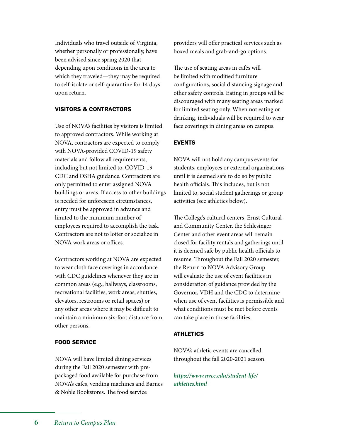Individuals who travel outside of Virginia, whether personally or professionally, have been advised since spring 2020 that depending upon conditions in the area to which they traveled—they may be required to self-isolate or self-quarantine for 14 days upon return.

# VISITORS & CONTRACTORS

Use of NOVA's facilities by visitors is limited to approved contractors. While working at NOVA, contractors are expected to comply with NOVA-provided COVID-19 safety materials and follow all requirements, including but not limited to, COVID-19 CDC and OSHA guidance. Contractors are only permitted to enter assigned NOVA buildings or areas. If access to other buildings is needed for unforeseen circumstances, entry must be approved in advance and limited to the minimum number of employees required to accomplish the task. Contractors are not to loiter or socialize in NOVA work areas or offices.

Contractors working at NOVA are expected to wear cloth face coverings in accordance with CDC guidelines whenever they are in common areas (e.g., hallways, classrooms, recreational facilities, work areas, shuttles, elevators, restrooms or retail spaces) or any other areas where it may be difficult to maintain a minimum six-foot distance from other persons.

#### FOOD SERVICE

NOVA will have limited dining services during the Fall 2020 semester with prepackaged food available for purchase from NOVA's cafes, vending machines and Barnes & Noble Bookstores. The food service

providers will offer practical services such as boxed meals and grab-and-go options.

The use of seating areas in cafés will be limited with modified furniture configurations, social distancing signage and other safety controls. Eating in groups will be discouraged with many seating areas marked for limited seating only. When not eating or drinking, individuals will be required to wear face coverings in dining areas on campus.

# EVENTS

NOVA will not hold any campus events for students, employees or external organizations until it is deemed safe to do so by public health officials. This includes, but is not limited to, social student gatherings or group activities (see athletics below).

The College's cultural centers, Ernst Cultural and Community Center, the Schlesinger Center and other event areas will remain closed for facility rentals and gatherings until it is deemed safe by public health officials to resume. Throughout the Fall 2020 semester, the Return to NOVA Advisory Group will evaluate the use of event facilities in consideration of guidance provided by the Governor, VDH and the CDC to determine when use of event facilities is permissible and what conditions must be met before events can take place in those facilities.

# ATHLETICS

NOVA's athletic events are cancelled throughout the fall 2020-2021 season.

*[https://www.nvcc.edu/student-life/](https://www.nvcc.edu/student-life/athletics.html) athletics.html*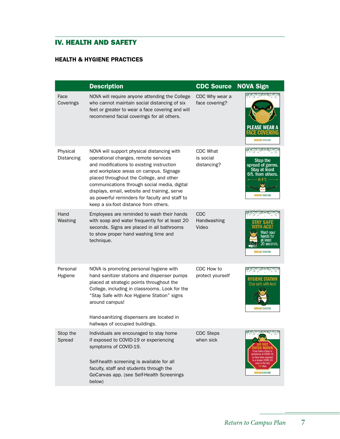# IV. HEALTH AND SAFETY

# HEALTH & HYGIENE PRACTICES

|                        | <b>Description</b>                                                                                                                                                                                                                                                                                                                                                                                               | <b>CDC Source</b>                           | <b>NOVA Sign</b>                                                                                                                                                      |
|------------------------|------------------------------------------------------------------------------------------------------------------------------------------------------------------------------------------------------------------------------------------------------------------------------------------------------------------------------------------------------------------------------------------------------------------|---------------------------------------------|-----------------------------------------------------------------------------------------------------------------------------------------------------------------------|
| Face<br>Coverings      | NOVA will require anyone attending the College<br>who cannot maintain social distancing of six<br>feet or greater to wear a face covering and will<br>recommend facial coverings for all others.                                                                                                                                                                                                                 | CDC Why wear a<br>face covering?            | PLEASE WEAR<br><b>NOVA</b>                                                                                                                                            |
| Physical<br>Distancing | NOVA will support physical distancing with<br>operational changes, remote services<br>and modifications to existing instruction<br>and workplace areas on campus. Signage<br>placed throughout the College, and other<br>communications through social media, digital<br>displays, email, website and training, serve<br>as powerful reminders for faculty and staff to<br>keep a six-foot distance from others. | <b>CDC What</b><br>is social<br>distancing? | Stop the<br>spread of germs.<br><b>Stay at least</b><br>6ft. from others.<br><b>NOVA</b> Support Value                                                                |
| Hand<br>Washing        | Employees are reminded to wash their hands<br>with soap and water frequently for at least 20<br>seconds. Signs are placed in all bathrooms<br>to show proper hand washing time and<br>technique.                                                                                                                                                                                                                 | <b>CDC</b><br>Handwashing<br>Video          | seconds.<br><b>NOVA</b> Extensive:                                                                                                                                    |
| Personal<br>Hygiene    | NOVA is promoting personal hygiene with<br>hand sanitizer stations and dispenser pumps<br>placed at strategic points throughout the<br>College, including in classrooms. Look for the<br>"Stay Safe with Ace Hygiene Station" signs<br>around campus!<br>Hand-sanitizing dispensers are located in<br>hallways of occupied buildings.                                                                            | CDC How to<br>protect yourself              | Stay safe with Ace!                                                                                                                                                   |
| Stop the<br>Spread     | Individuals are encouraged to stay home<br>if exposed to COVID-19 or experiencing<br>symptoms of COVID-19.<br>Self-health screening is available for all<br>faculty, staff and students through the<br>GoCanvas app. (see Self-Health Screenings<br>below)                                                                                                                                                       | CDC Steps<br>when sick                      | COLORADO (MAR)<br>if vou have a fever or<br>symptoms of COVID-19<br>or have been exposed<br>to a known COVID-19<br>case in the last<br>.4 days<br><b>NOVA</b> ESSENCE |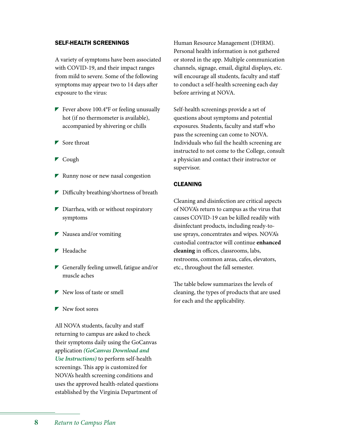#### SELF-HEALTH SCREENINGS

A variety of symptoms have been associated with COVID-19, and their impact ranges from mild to severe. Some of the following symptoms may appear two to 14 days after exposure to the virus:

- Fever above  $100.4$ °F or feeling unusually hot (if no thermometer is available), accompanied by shivering or chills
- $\blacktriangleright$  Sore throat
- $\blacktriangleright$  Cough
- $\blacktriangleright$  Runny nose or new nasal congestion
- Difficulty breathing/shortness of breath
- $\triangleright$  Diarrhea, with or without respiratory symptoms
- **Nausea** and/or vomiting
- ▶ Headache
- Generally feeling unwell, fatigue and/or muscle aches
- $\blacktriangleright$  New loss of taste or smell
- $\blacktriangleright$  New foot sores

All NOVA students, faculty and staff returning to campus are asked to check their symptoms daily using the GoCanvas application *[\(GoCanvas Download and](https://www.nvcc.edu/safe-campus/gocanvasapp/)  Use Instructions)* to perform self-health screenings. This app is customized for NOVA's health screening conditions and uses the approved health-related questions established by the Virginia Department of Human Resource Management (DHRM). Personal health information is not gathered or stored in the app. Multiple communication channels, signage, email, digital displays, etc. will encourage all students, faculty and staff to conduct a self-health screening each day before arriving at NOVA.

Self-health screenings provide a set of questions about symptoms and potential exposures. Students, faculty and staff who pass the screening can come to NOVA. Individuals who fail the health screening are instructed to not come to the College, consult a physician and contact their instructor or supervisor.

#### CLEANING

Cleaning and disinfection are critical aspects of NOVA's return to campus as the virus that causes COVID-19 can be killed readily with disinfectant products, including ready-touse sprays, concentrates and wipes. NOVA's custodial contractor will continue **enhanced cleaning** in offices, classrooms, labs, restrooms, common areas, cafes, elevators, etc., throughout the fall semester.

The table below summarizes the levels of cleaning, the types of products that are used for each and the applicability.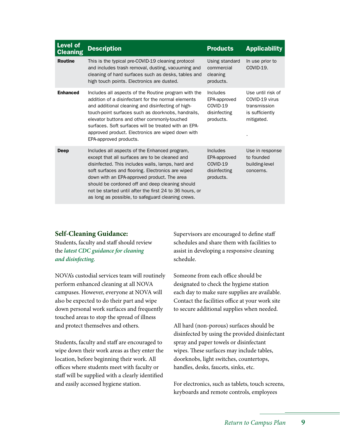| <b>Level of</b><br><b>Cleaning</b> | <b>Description</b>                                                                                                                                                                                                                                                                                                                                                                                                          | <b>Products</b>                                                   | <b>Applicability</b>                                                                 |
|------------------------------------|-----------------------------------------------------------------------------------------------------------------------------------------------------------------------------------------------------------------------------------------------------------------------------------------------------------------------------------------------------------------------------------------------------------------------------|-------------------------------------------------------------------|--------------------------------------------------------------------------------------|
| <b>Routine</b>                     | This is the typical pre-COVID-19 cleaning protocol<br>and includes trash removal, dusting, vacuuming and<br>cleaning of hard surfaces such as desks, tables and<br>high touch points. Electronics are dusted.                                                                                                                                                                                                               | Using standard<br>commercial<br>cleaning<br>products.             | In use prior to<br>COVID-19.                                                         |
| <b>Enhanced</b>                    | Includes all aspects of the Routine program with the<br>addition of a disinfectant for the normal elements<br>and additional cleaning and disinfecting of high-<br>touch-point surfaces such as doorknobs, handrails,<br>elevator buttons and other commonly-touched<br>surfaces. Soft surfaces will be treated with an EPA-<br>approved product. Electronics are wiped down with<br>EPA-approved products.                 | Includes<br>EPA-approved<br>COVID-19<br>disinfecting<br>products. | Use until risk of<br>COVID-19 virus<br>transmission<br>is sufficiently<br>mitigated. |
| Deep                               | Includes all aspects of the Enhanced program,<br>except that all surfaces are to be cleaned and<br>disinfected. This includes walls, lamps, hard and<br>soft surfaces and flooring. Electronics are wiped<br>down with an EPA-approved product. The area<br>should be cordoned off and deep cleaning should<br>not be started until after the first 24 to 36 hours, or<br>as long as possible, to safeguard cleaning crews. | Includes<br>EPA-approved<br>COVID-19<br>disinfecting<br>products. | Use in response<br>to founded<br>building-level<br>concerns.                         |

#### **Self-Cleaning Guidance:**

Students, faculty and staff should review the *[latest CDC guidance for cleaning](https://www.cdc.gov/coronavirus/2019-ncov/prevent-getting-sick/disinfecting-your-home.html)  and disinfecting.*

NOVA's custodial services team will routinely perform enhanced cleaning at all NOVA campuses. However, everyone at NOVA will also be expected to do their part and wipe down personal work surfaces and frequently touched areas to stop the spread of illness and protect themselves and others.

Students, faculty and staff are encouraged to wipe down their work areas as they enter the location, before beginning their work. All offices where students meet with faculty or staff will be supplied with a clearly identified and easily accessed hygiene station.

Supervisors are encouraged to define staff schedules and share them with facilities to assist in developing a responsive cleaning schedule.

Someone from each office should be designated to check the hygiene station each day to make sure supplies are available. Contact the facilities office at your work site to secure additional supplies when needed.

All hard (non-porous) surfaces should be disinfected by using the provided disinfectant spray and paper towels or disinfectant wipes. These surfaces may include tables, doorknobs, light switches, countertops, handles, desks, faucets, sinks, etc.

For electronics, such as tablets, touch screens, keyboards and remote controls, employees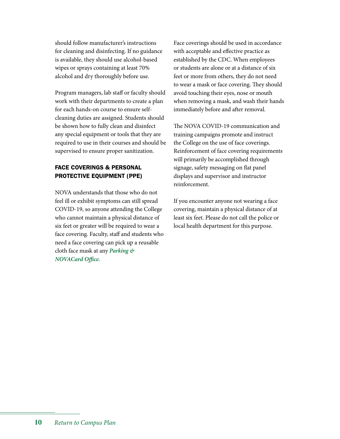should follow manufacturer's instructions for cleaning and disinfecting. If no guidance is available, they should use alcohol-based wipes or sprays containing at least 70% alcohol and dry thoroughly before use.

Program managers, lab staff or faculty should work with their departments to create a plan for each hands-on course to ensure selfcleaning duties are assigned. Students should be shown how to fully clean and disinfect any special equipment or tools that they are required to use in their courses and should be supervised to ensure proper sanitization.

# FACE COVERINGS & PERSONAL PROTECTIVE EQUIPMENT (PPE)

NOVA understands that those who do not feel ill or exhibit symptoms can still spread COVID-19, so anyone attending the College who cannot maintain a physical distance of six feet or greater will be required to wear a face covering. Faculty, staff and students who need a face covering can pick up a reusable [cloth face mask at any](https://www.nvcc.edu/parking/contact.html) *Parking & NOVACard Office*.

Face coverings should be used in accordance with acceptable and effective practice as established by the CDC. When employees or students are alone or at a distance of six feet or more from others, they do not need to wear a mask or face covering. They should avoid touching their eyes, nose or mouth when removing a mask, and wash their hands immediately before and after removal.

The NOVA COVID-19 communication and training campaigns promote and instruct the College on the use of face coverings. Reinforcement of face covering requirements will primarily be accomplished through signage, safety messaging on flat panel displays and supervisor and instructor reinforcement.

If you encounter anyone not wearing a face covering, maintain a physical distance of at least six feet. Please do not call the police or local health department for this purpose.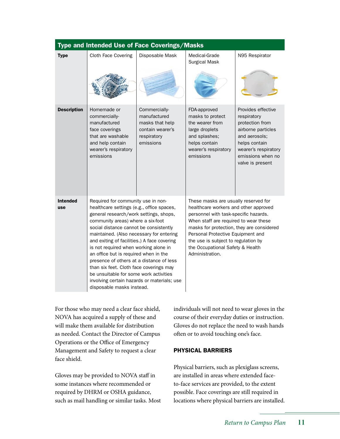| Type and Intended Use of Face Coverings/Masks |                                                                                                                                                                                                                                                                                                                                                                                                                                                                                                                                                                                                    |                                                                                                  |                                                                                                                                                                                                                                                                                                                                                 |                                                                                                                                                                               |  |  |  |
|-----------------------------------------------|----------------------------------------------------------------------------------------------------------------------------------------------------------------------------------------------------------------------------------------------------------------------------------------------------------------------------------------------------------------------------------------------------------------------------------------------------------------------------------------------------------------------------------------------------------------------------------------------------|--------------------------------------------------------------------------------------------------|-------------------------------------------------------------------------------------------------------------------------------------------------------------------------------------------------------------------------------------------------------------------------------------------------------------------------------------------------|-------------------------------------------------------------------------------------------------------------------------------------------------------------------------------|--|--|--|
| <b>Type</b>                                   | Cloth Face Covering                                                                                                                                                                                                                                                                                                                                                                                                                                                                                                                                                                                | Disposable Mask                                                                                  | Medical-Grade<br><b>Surgical Mask</b>                                                                                                                                                                                                                                                                                                           | N95 Respirator                                                                                                                                                                |  |  |  |
| <b>Description</b>                            | Homemade or<br>commercially-<br>manufactured<br>face coverings<br>that are washable<br>and help contain<br>wearer's respiratory<br>emissions                                                                                                                                                                                                                                                                                                                                                                                                                                                       | Commercially-<br>manufactured<br>masks that help<br>contain wearer's<br>respiratory<br>emissions | FDA-approved<br>masks to protect<br>the wearer from<br>large droplets<br>and splashes;<br>helps contain<br>wearer's respiratory<br>emissions                                                                                                                                                                                                    | Provides effective<br>respiratory<br>protection from<br>airborne particles<br>and aerosols;<br>helps contain<br>wearer's respiratory<br>emissions when no<br>valve is present |  |  |  |
| <b>Intended</b><br>use                        | Required for community use in non-<br>healthcare settings (e.g., office spaces,<br>general research/work settings, shops,<br>community areas) where a six-foot<br>social distance cannot be consistently<br>maintained. (Also necessary for entering<br>and exiting of facilities.) A face covering<br>is not required when working alone in<br>an office but is required when in the<br>presence of others at a distance of less<br>than six feet. Cloth face coverings may<br>be unsuitable for some work activities<br>involving certain hazards or materials; use<br>disposable masks instead. |                                                                                                  | These masks are usually reserved for<br>healthcare workers and other approved<br>personnel with task-specific hazards.<br>When staff are required to wear these<br>masks for protection, they are considered<br>Personal Protective Equipment and<br>the use is subject to regulation by<br>the Occupational Safety & Health<br>Administration. |                                                                                                                                                                               |  |  |  |

For those who may need a clear face shield, NOVA has acquired a supply of these and will make them available for distribution as needed. Contact the Director of Campus Operations or the Office of Emergency Management and Safety to request a clear face shield.

Gloves may be provided to NOVA staff in some instances where recommended or required by DHRM or OSHA guidance, such as mail handling or similar tasks. Most individuals will not need to wear gloves in the course of their everyday duties or instruction. Gloves do not replace the need to wash hands often or to avoid touching one's face.

#### PHYSICAL BARRIERS

Physical barriers, such as plexiglass screens, are installed in areas where extended faceto-face services are provided, to the extent possible. Face coverings are still required in locations where physical barriers are installed.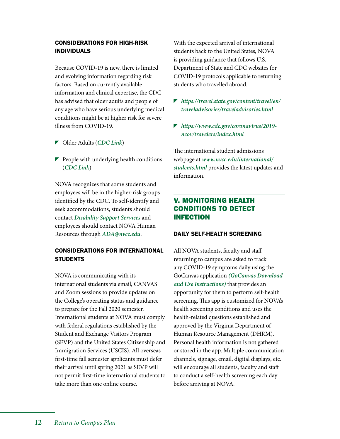#### CONSIDERATIONS FOR HIGH-RISK INDIVIDUALS

Because COVID-19 is new, there is limited and evolving information regarding risk factors. Based on currently available information and clinical expertise, the CDC has advised that older adults and people of any age who have serious underlying medical conditions might be at higher risk for severe illness from COVID-19.

- Older Adults (*[CDC Link](https://www.cdc.gov/coronavirus/2019-ncov/need-extra-precautions/older-adults.html)*)
- $\blacktriangleright$  People with underlying health conditions (*[CDC Link](https://www.cdc.gov/coronavirus/2019-ncov/need-extra-precautions/people-with-medical-conditions.html)*)

NOVA recognizes that some students and employees will be in the higher-risk groups identified by the CDC. To self-identify and seek accommodations, students should contact *[Disability Support Services](https://www.nvcc.edu/disability-services/)* and employees should contact NOVA Human Resources through *[ADA@nvcc.edu](mailto:ADA@nvcc.edu)*.

# CONSIDERATIONS FOR INTERNATIONAL **STUDENTS**

NOVA is communicating with its international students via email, CANVAS and Zoom sessions to provide updates on the College's operating status and guidance to prepare for the Fall 2020 semester. International students at NOVA must comply with federal regulations established by the Student and Exchange Visitors Program (SEVP) and the United States Citizenship and Immigration Services (USCIS). All overseas first-time fall semester applicants must defer their arrival until spring 2021 as SEVP will not permit first-time international students to take more than one online course.

With the expected arrival of international students back to the United States, NOVA is providing guidance that follows U.S. Department of State and CDC websites for COVID-19 protocols applicable to returning students who travelled abroad.

- *[https://travel.state.gov/content/travel/en/](https://travel.state.gov/content/travel/en/traveladvisories/traveladvisories.html) traveladvisories/traveladvisories.html*
- *[https://www.cdc.gov/coronavirus/2019](https://travel.state.gov/content/travel/en/traveladvisories/traveladvisories.html) ncov/travelers/index.html*

The international student admissions webpage at *www.nvcc.edu/international/ students.html* [provides the latest updates an](www.nvcc.edu/international/students.html)d information.

# V. MONITORING HEALTH CONDITIONS TO DETECT INFECTION

#### DAILY SELF-HEALTH SCREENING

All NOVA students, faculty and staff returning to campus are asked to track any COVID-19 symptoms daily using the GoCanvas application *[\(GoCanvas Download](https://www.nvcc.edu/safe-campus/gocanvasapp/index.html)  and Use Instructions)* that provides an opportunity for them to perform self-health screening. This app is customized for NOVA's health screening conditions and uses the health-related questions established and approved by the Virginia Department of Human Resource Management (DHRM). Personal health information is not gathered or stored in the app. Multiple communication channels, signage, email, digital displays, etc. will encourage all students, faculty and staff to conduct a self-health screening each day before arriving at NOVA.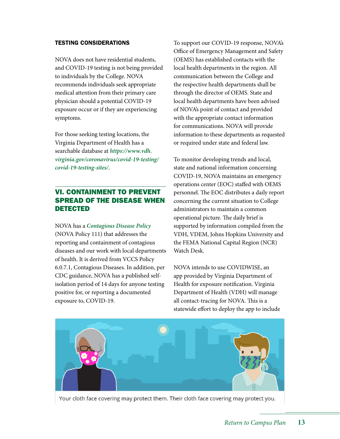#### TESTING CONSIDERATIONS

NOVA does not have residential students, and COVID-19 testing is not being provided to individuals by the College. NOVA recommends individuals seek appropriate medical attention from their primary care physician should a potential COVID-19 exposure occur or if they are experiencing symptoms.

For those seeking testing locations, the Virginia Department of Health has a searchable database at *https://www.vdh. [virginia.gov/coronavirus/covid-19-testing/](https://www.vdh.virginia.gov/coronavirus/covid-19-testing/covid-19-testing-sites/) covid-19-testing-sites/*.

# VI. CONTAINMENT TO PREVENT SPREAD OF THE DISEASE WHEN DETECTED

NOVA has a *[Contagious Disease Policy](https://www.nvcc.edu/policies/policies.aspx?num=111)* (NOVA Policy 111) that addresses the reporting and containment of contagious diseases and our work with local departments of health. It is derived from VCCS Policy 6.0.7.1, Contagious Diseases. In addition, per CDC guidance, NOVA has a published selfisolation period of 14 days for anyone testing positive for, or reporting a documented exposure to, COVID-19.

To support our COVID-19 response, NOVA's Office of Emergency Management and Safety (OEMS) has established contacts with the local health departments in the region. All communication between the College and the respective health departments shall be through the director of OEMS. State and local health departments have been advised of NOVA's point of contact and provided with the appropriate contact information for communications. NOVA will provide information to these departments as requested or required under state and federal law.

To monitor developing trends and local, state and national information concerning COVID-19, NOVA maintains an emergency operations center (EOC) staffed with OEMS personnel. The EOC distributes a daily report concerning the current situation to College administrators to maintain a common operational picture. The daily brief is supported by information compiled from the VDH, VDEM, Johns Hopkins University and the FEMA National Capital Region (NCR) Watch Desk.

NOVA intends to use COVIDWISE, an app provided by Virginia Department of Health for exposure notification. Virginia Department of Health (VDH) will manage all contact-tracing for NOVA. This is a statewide effort to deploy the app to include



Your cloth face covering may protect them. Their cloth face covering may protect you.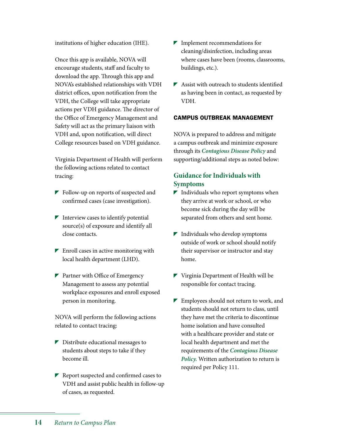institutions of higher education (IHE).

Once this app is available, NOVA will encourage students, staff and faculty to download the app. Through this app and NOVA's established relationships with VDH district offices, upon notification from the VDH, the College will take appropriate actions per VDH guidance. The director of the Office of Emergency Management and Safety will act as the primary liaison with VDH and, upon notification, will direct College resources based on VDH guidance.

Virginia Department of Health will perform the following actions related to contact tracing:

- **Follow-up on reports of suspected and** confirmed cases (case investigation).
- $\blacksquare$  Interview cases to identify potential source(s) of exposure and identify all close contacts.
- $\blacktriangleright$  Enroll cases in active monitoring with local health department (LHD).
- $\blacktriangleright$  Partner with Office of Emergency Management to assess any potential workplace exposures and enroll exposed person in monitoring.

NOVA will perform the following actions related to contact tracing:

- $\triangleright$  Distribute educational messages to students about steps to take if they become ill.
- $\blacktriangleright$  Report suspected and confirmed cases to VDH and assist public health in follow-up of cases, as requested.
- **Implement recommendations for** cleaning/disinfection, including areas where cases have been (rooms, classrooms, buildings, etc.).
- $\blacktriangleright$  Assist with outreach to students identified as having been in contact, as requested by VDH.

#### CAMPUS OUTBREAK MANAGEMENT

NOVA is prepared to address and mitigate a campus outbreak and minimize exposure through its *[Contagious Disease Policy](https://www.nvcc.edu/policies/_files/111-Contagious-Diseases.pdf)* and supporting/additional steps as noted below:

# **Guidance for Individuals with Symptoms**

- $\blacktriangleright$  Individuals who report symptoms when they arrive at work or school, or who become sick during the day will be separated from others and sent home.
- $\blacktriangleright$  Individuals who develop symptoms outside of work or school should notify their supervisor or instructor and stay home.
- Virginia Department of Health will be responsible for contact tracing.
- **Employees should not return to work, and** students should not return to class, until they have met the criteria to discontinue home isolation and have consulted with a healthcare provider and state or local health department and met the requirements of the *Contagious Disease Policy.* [Written authorization to return is](https://www.nvcc.edu/policies/_files/111-Contagious-Diseases.pdf)  required per Policy 111.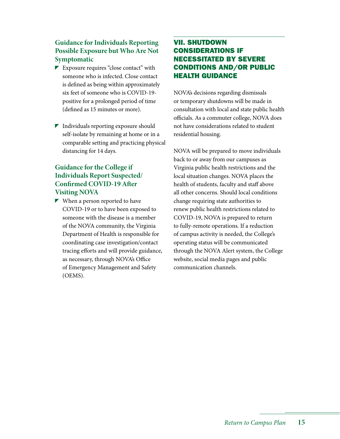# **Guidance for Individuals Reporting Possible Exposure but Who Are Not Symptomatic**

- Exposure requires "close contact" with someone who is infected. Close contact is defined as being within approximately six feet of someone who is COVID-19 positive for a prolonged period of time (defined as 15 minutes or more).
- $\blacksquare$  Individuals reporting exposure should self-isolate by remaining at home or in a comparable setting and practicing physical distancing for 14 days.

# **Guidance for the College if Individuals Report Suspected/ Confirmed COVID-19 After Visiting NOVA**

 $\blacktriangleright$  When a person reported to have COVID-19 or to have been exposed to someone with the disease is a member of the NOVA community, the Virginia Department of Health is responsible for coordinating case investigation/contact tracing efforts and will provide guidance, as necessary, through NOVA's Office of Emergency Management and Safety (OEMS).

# VII. SHUTDOWN CONSIDERATIONS IF NECESSITATED BY SEVERE CONDITIONS AND/OR PUBLIC HEALTH GUIDANCE

NOVA's decisions regarding dismissals or temporary shutdowns will be made in consultation with local and state public health officials. As a commuter college, NOVA does not have considerations related to student residential housing.

NOVA will be prepared to move individuals back to or away from our campuses as Virginia public health restrictions and the local situation changes. NOVA places the health of students, faculty and staff above all other concerns. Should local conditions change requiring state authorities to renew public health restrictions related to COVID-19, NOVA is prepared to return to fully-remote operations. If a reduction of campus activity is needed, the College's operating status will be communicated through the NOVA Alert system, the College website, social media pages and public communication channels.